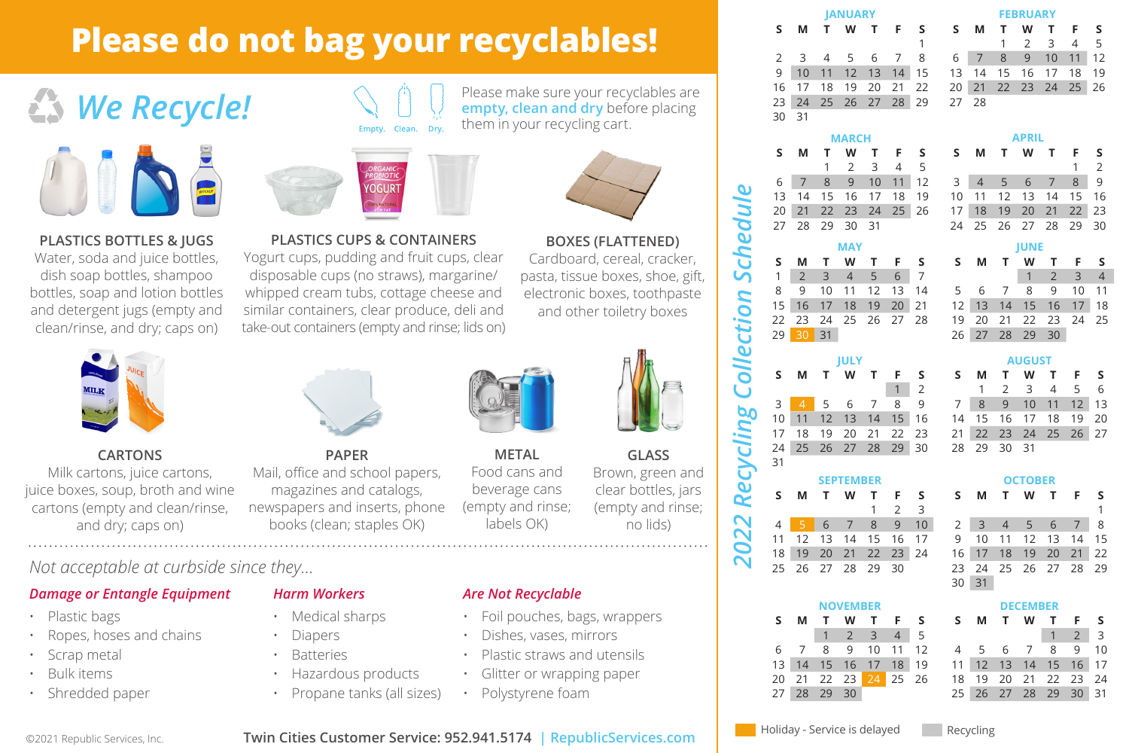# **Please do not bag your recyclables!**

# *We Recycle!*





disposable cups (no straws), margarine/ whipped cream tubs, cottage cheese and similar containers, clear produce, deli and take-out containers (empty and rinse; lids on)

#### **PLASTICS BOTTLES & JUGS**

Water, soda and juice bottles, dish soap bottles, shampoo bottles, soap and lotion bottles and detergent jugs (empty and clean/rinse, and dry; caps on)



#### **CARTONS**

Milk cartons, juice cartons, juice boxes, soup, broth and wine cartons (empty and clean/rinse, and dry; caps on)

*Not acceptable at curbside since they...*

• Ropes, hoses and chains

*Damage or Entangle Equipment*

**PAPER**

Mail, office and school papers, magazines and catalogs, newspapers and inserts, phone books (clean; staples OK)

**PLASTICS CUPS & CONTAINERS**  Yogurt cups, pudding and fruit cups, clear

them in your recycling cart.



Please make sure your recyclables are **empty, clean and dry** before placing

> Cardboard, cereal, cracker, pasta, tissue boxes, shoe, gift, electronic boxes, toothpaste and other toiletry boxes

*2022 Recycling Collection Schedule*

cycling

Red  $\overline{\mathbf{C}}$ 202

ollection

chedule

ທັ

31



**METAL**  Food cans and beverage cans (empty and rinse; labels OK)

**GLASS** Brown, green and clear bottles, jars (empty and rinse;

no lids)

### *Are Not Recyclable*

- Foil pouches, bags, wrappers
- Dishes, vases, mirrors
- Plastic straws and utensils
- Glitter or wrapping paper
- Polystyrene foam

|       |  | <b>JANUARY</b> |  |               | <b>FEBRUARY</b>                           |  |  |  |                     |     |  |  |
|-------|--|----------------|--|---------------|-------------------------------------------|--|--|--|---------------------|-----|--|--|
| s.    |  |                |  |               | MTWTFS SMTWTFS                            |  |  |  |                     |     |  |  |
|       |  |                |  |               |                                           |  |  |  | $1 \quad 2 \quad 3$ | 4 5 |  |  |
|       |  |                |  | 2 3 4 5 6 7 8 |                                           |  |  |  | 6 7 8 9 10 11 12    |     |  |  |
|       |  |                |  |               | 9 10 11 12 13 14 15 13 14 15 16 17 18 19  |  |  |  |                     |     |  |  |
|       |  |                |  |               | 16 17 18 19 20 21 22 20 21 22 23 24 25 26 |  |  |  |                     |     |  |  |
|       |  |                |  |               | 23 24 25 26 27 28 29 27 28                |  |  |  |                     |     |  |  |
| 30 31 |  |                |  |               |                                           |  |  |  |                     |     |  |  |

|  | <b>MARCH</b> |           |  |                                                                                  | <b>APRIL</b> |  |                      |  |  |             |  |  |
|--|--------------|-----------|--|----------------------------------------------------------------------------------|--------------|--|----------------------|--|--|-------------|--|--|
|  |              |           |  | S M T W T F S S M T W T F S                                                      |              |  |                      |  |  |             |  |  |
|  |              | 1 2 3 4 5 |  |                                                                                  |              |  |                      |  |  | $1 \quad 2$ |  |  |
|  |              |           |  | 6 7 8 9 10 11 12 3 4 5 6 7 8 9                                                   |              |  |                      |  |  |             |  |  |
|  |              |           |  | 13    14    15    16    17    18    19    10    11    12    13    14    15    16 |              |  |                      |  |  |             |  |  |
|  |              |           |  | 20 21 22 23 24 25 26 17 18 19 20 21 22 23                                        |              |  |                      |  |  |             |  |  |
|  |              |           |  |                                                                                  |              |  | 24 25 26 27 28 29 30 |  |  |             |  |  |
|  |              |           |  |                                                                                  |              |  |                      |  |  |             |  |  |

|  |               | <b>MAY</b> |  |                                                        | <b>JUNE</b> |  |                |                             |  |  |  |  |
|--|---------------|------------|--|--------------------------------------------------------|-------------|--|----------------|-----------------------------|--|--|--|--|
|  |               |            |  | SMTWTFS SMTWTFS                                        |             |  |                |                             |  |  |  |  |
|  | 1 2 3 4 5 6 7 |            |  |                                                        |             |  |                | $1 \quad 2 \quad 3 \quad 4$ |  |  |  |  |
|  |               |            |  | 8 9 10 11 12 13 14 5 6 7 8 9 10 11                     |             |  |                |                             |  |  |  |  |
|  |               |            |  | 15 16 17 18 19 20 21 - 12 13 14 15 16 17 18            |             |  |                |                             |  |  |  |  |
|  |               |            |  | 22  23  24  25  26  27  28  19  20  21  22  23  24  25 |             |  |                |                             |  |  |  |  |
|  | 29 30 31      |            |  |                                                        |             |  | 26 27 28 29 30 |                             |  |  |  |  |
|  |               |            |  |                                                        |             |  |                |                             |  |  |  |  |

|  |  |  |  | SMTWTFS SMTWTFS                           |  |  |  |  |  |  |  |
|--|--|--|--|-------------------------------------------|--|--|--|--|--|--|--|
|  |  |  |  | $12$ 1 2 3 4 5 6                          |  |  |  |  |  |  |  |
|  |  |  |  | 3 4 5 6 7 8 9 7 8 9 10 11 12 13           |  |  |  |  |  |  |  |
|  |  |  |  | 10 11 12 13 14 15 16 14 15 16 17 18 19 20 |  |  |  |  |  |  |  |
|  |  |  |  | 17 18 19 20 21 22 23 21 22 23 24 25 26 27 |  |  |  |  |  |  |  |
|  |  |  |  | 24 25 26 27 28 29 30 28 29 30 31          |  |  |  |  |  |  |  |
|  |  |  |  |                                           |  |  |  |  |  |  |  |

|    |                      | <b>SEPTEMBER</b> |    |                | <b>OCTOBER</b> |         |    |  |                      |  |  |     |
|----|----------------------|------------------|----|----------------|----------------|---------|----|--|----------------------|--|--|-----|
| s. | MTWTFS               |                  |    |                |                | SMTWTFS |    |  |                      |  |  |     |
|    |                      |                  |    | 2 <sup>3</sup> |                |         |    |  |                      |  |  |     |
|    | 6 7                  |                  | 89 |                | 10             |         |    |  | 2 3 4 5 6 7          |  |  | - 8 |
|    | 11 12 13 14 15 16 17 |                  |    |                |                |         |    |  | 9 10 11 12 13 14 15  |  |  |     |
|    | 18 19 20 21 22 23 24 |                  |    |                |                |         |    |  | 16 17 18 19 20 21 22 |  |  |     |
|    | 25 26 27 28 29 30    |                  |    |                |                |         |    |  | 23 24 25 26 27 28 29 |  |  |     |
|    |                      |                  |    |                |                | 30      | 31 |  |                      |  |  |     |

|    |          | <b>NOVEMBER</b> |                      |  |                      | <b>DECEMBER</b> |  |                      |  |                |  |  |  |
|----|----------|-----------------|----------------------|--|----------------------|-----------------|--|----------------------|--|----------------|--|--|--|
|    |          |                 | MTWTFS               |  | SMTWTFS              |                 |  |                      |  |                |  |  |  |
|    |          |                 | 1 2 3 4 5            |  |                      |                 |  |                      |  | 2 <sup>2</sup> |  |  |  |
|    |          |                 | 6 7 8 9 10 11 12     |  |                      |                 |  | 4 5 6 7 8 9 10       |  |                |  |  |  |
|    |          |                 | 13 14 15 16 17 18 19 |  | 11 12 13 14 15 16 17 |                 |  |                      |  |                |  |  |  |
|    |          |                 | 20 21 22 23 24 25 26 |  |                      |                 |  | 18 19 20 21 22 23 24 |  |                |  |  |  |
| 27 | 28 29 30 |                 |                      |  |                      |                 |  | 25 26 27 28 29 30 31 |  |                |  |  |  |

©2021 Republic Services, Inc.

• Plastic bags

Scrap metal • Bulk items • Shredded paper

## • Propane tanks (all sizes)

• Medical sharps • Diapers **Batteries** • Hazardous products

*Harm Workers*

**Twin Cities Customer Service: 952.941.5174 | RepublicServices.com**

Holiday - Service is delayed Recycling

**MAY**

**JULY S M T W T F S**